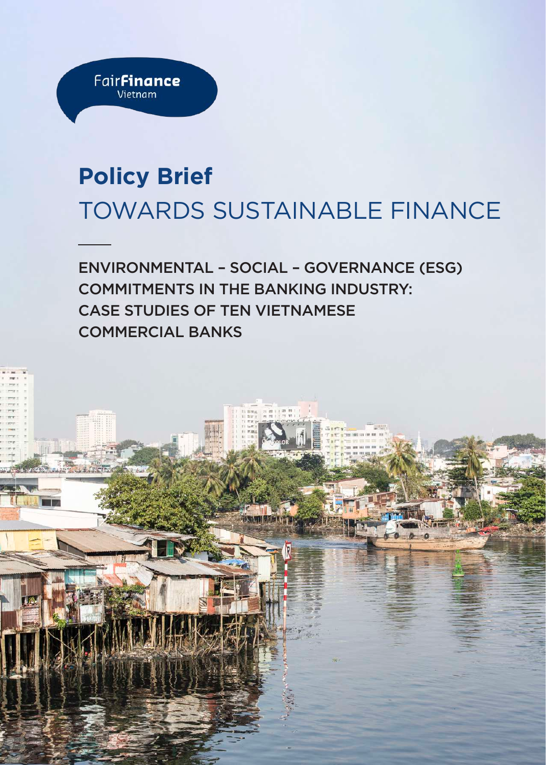

## **Policy Brief** TOWARDS SUSTAINABLE FINANCE

ENVIRONMENTAL – SOCIAL – GOVERNANCE (ESG) COMMITMENTS IN THE BANKING INDUSTRY: CASE STUDIES OF TEN VIETNAMESE COMMERCIAL BANKS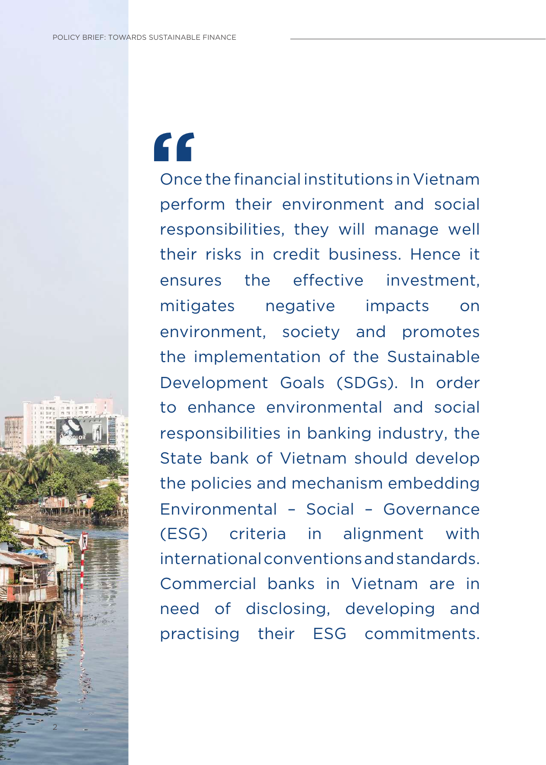2

# **"**

Once the financial institutions in Vietnam perform their environment and social responsibilities, they will manage well their risks in credit business. Hence it ensures the effective investment, mitigates negative impacts on environment, society and promotes the implementation of the Sustainable Development Goals (SDGs). In order to enhance environmental and social responsibilities in banking industry, the State bank of Vietnam should develop the policies and mechanism embedding Environmental – Social – Governance (ESG) criteria in alignment with international conventions and standards. Commercial banks in Vietnam are in need of disclosing, developing and practising their ESG commitments.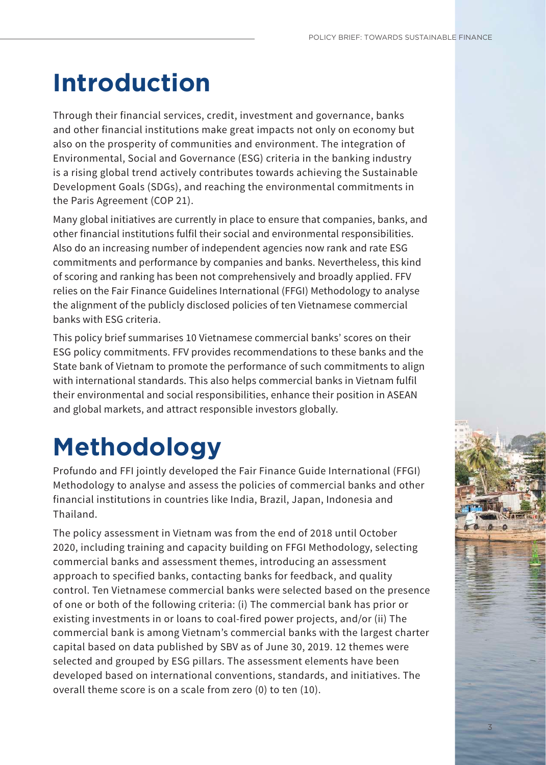## **Introduction**

Through their financial services, credit, investment and governance, banks and other financial institutions make great impacts not only on economy but also on the prosperity of communities and environment. The integration of Environmental, Social and Governance (ESG) criteria in the banking industry is a rising global trend actively contributes towards achieving the Sustainable Development Goals (SDGs), and reaching the environmental commitments in the Paris Agreement (COP 21).

Many global initiatives are currently in place to ensure that companies, banks, and other financial institutions fulfil their social and environmental responsibilities. Also do an increasing number of independent agencies now rank and rate ESG commitments and performance by companies and banks. Nevertheless, this kind of scoring and ranking has been not comprehensively and broadly applied. FFV relies on the Fair Finance Guidelines International (FFGI) Methodology to analyse the alignment of the publicly disclosed policies of ten Vietnamese commercial banks with ESG criteria.

This policy brief summarises 10 Vietnamese commercial banks' scores on their ESG policy commitments. FFV provides recommendations to these banks and the State bank of Vietnam to promote the performance of such commitments to align with international standards. This also helps commercial banks in Vietnam fulfil their environmental and social responsibilities, enhance their position in ASEAN and global markets, and attract responsible investors globally.

## **Methodology**

Profundo and FFI jointly developed the Fair Finance Guide International (FFGI) Methodology to analyse and assess the policies of commercial banks and other financial institutions in countries like India, Brazil, Japan, Indonesia and Thailand.

The policy assessment in Vietnam was from the end of 2018 until October 2020, including training and capacity building on FFGI Methodology, selecting commercial banks and assessment themes, introducing an assessment approach to specified banks, contacting banks for feedback, and quality control. Ten Vietnamese commercial banks were selected based on the presence of one or both of the following criteria: (i) The commercial bank has prior or existing investments in or loans to coal-fired power projects, and/or (ii) The commercial bank is among Vietnam's commercial banks with the largest charter capital based on data published by SBV as of June 30, 2019. 12 themes were selected and grouped by ESG pillars. The assessment elements have been developed based on international conventions, standards, and initiatives. The overall theme score is on a scale from zero (0) to ten (10).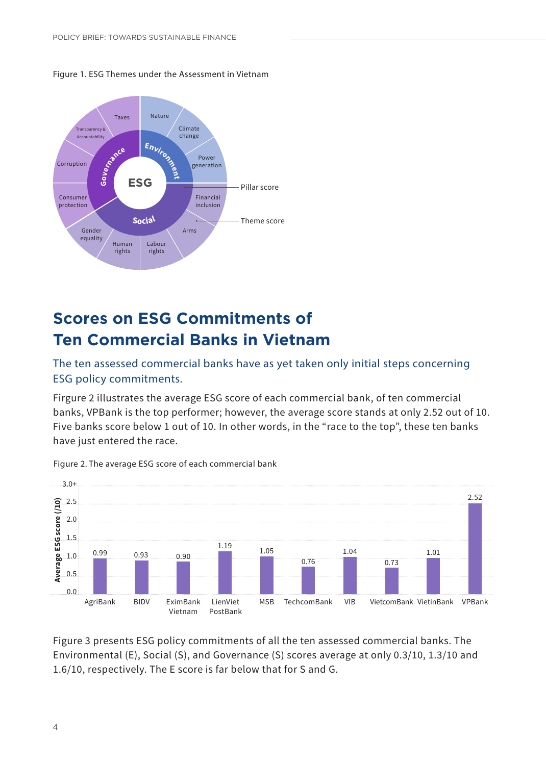

Figure 1. ESG Themes under the Assessment in Vietnam

## **Scores on ESG Commitments of Ten Commercial Banks in Vietnam**

#### The ten assessed commercial banks have as yet taken only initial steps concerning ESG policy commitments.

Firgure 2 illustrates the average ESG score of each commercial bank, of ten commercial banks, VPBank is the top performer; however, the average score stands at only 2.52 out of 10. Five banks score below 1 out of 10. In other words, in the "race to the top", these ten banks have just entered the race.



Figure 2. The average ESG score of each commercial bank

Figure 3 presents ESG policy commitments of all the ten assessed commercial banks. The Environmental (E), Social (S), and Governance (S) scores average at only 0.3/10, 1.3/10 and 1.6/10, respectively. The E score is far below that for S and G.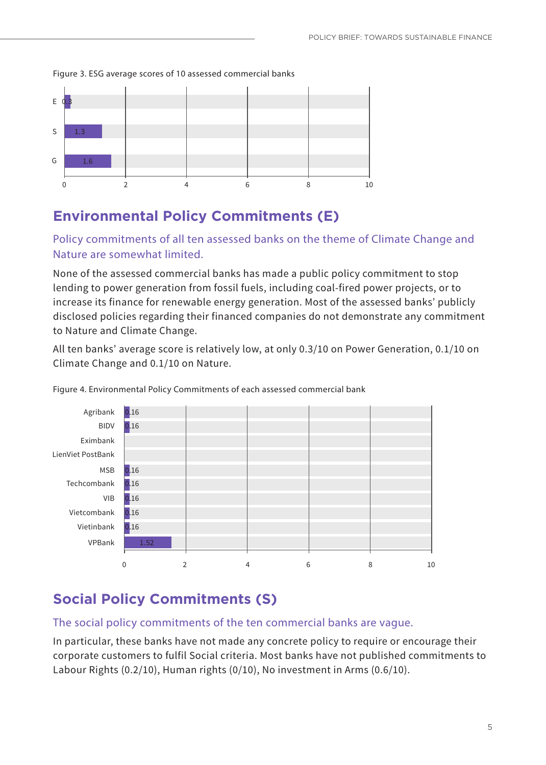Figure 3. ESG average scores of 10 assessed commercial banks



### **Environmental Policy Commitments (E)**

Policy commitments of all ten assessed banks on the theme of Climate Change and Nature are somewhat limited.

None of the assessed commercial banks has made a public policy commitment to stop lending to power generation from fossil fuels, including coal-fired power projects, or to increase its finance for renewable energy generation. Most of the assessed banks' publicly disclosed policies regarding their financed companies do not demonstrate any commitment to Nature and Climate Change.

All ten banks' average score is relatively low, at only 0.3/10 on Power Generation, 0.1/10 on Climate Change and 0.1/10 on Nature.



Figure 4. Environmental Policy Commitments of each assessed commercial bank

### **Social Policy Commitments (S)**

#### The social policy commitments of the ten commercial banks are vague.

In particular, these banks have not made any concrete policy to require or encourage their corporate customers to fulfil Social criteria. Most banks have not published commitments to Labour Rights (0.2/10), Human rights (0/10), No investment in Arms (0.6/10).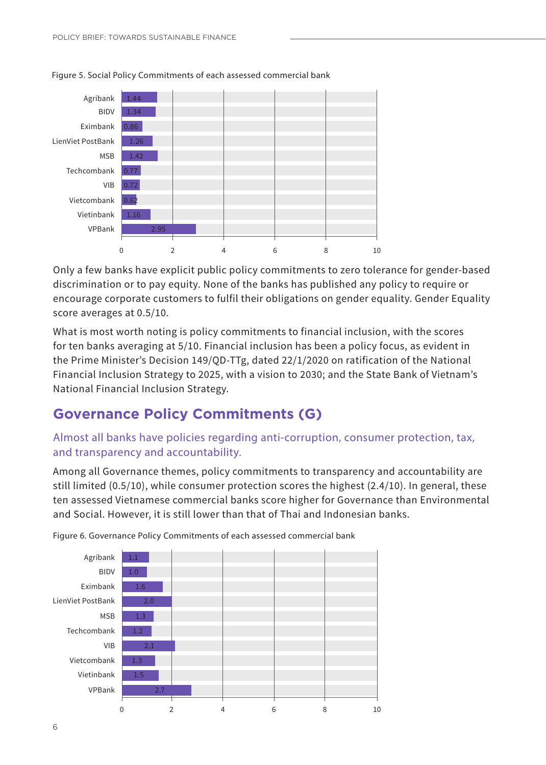

Figure 5. Social Policy Commitments of each assessed commercial bank

Only a few banks have explicit public policy commitments to zero tolerance for gender-based discrimination or to pay equity. None of the banks has published any policy to require or encourage corporate customers to fulfil their obligations on gender equality. Gender Equality score averages at 0.5/10.

What is most worth noting is policy commitments to financial inclusion, with the scores for ten banks averaging at 5/10. Financial inclusion has been a policy focus, as evident in the Prime Minister's Decision 149/QD-TTg, dated 22/1/2020 on ratification of the National Financial Inclusion Strategy to 2025, with a vision to 2030; and the State Bank of Vietnam's National Financial Inclusion Strategy.

### **Governance Policy Commitments (G)**

#### Almost all banks have policies regarding anti-corruption, consumer protection, tax, and transparency and accountability.

Among all Governance themes, policy commitments to transparency and accountability are still limited (0.5/10), while consumer protection scores the highest (2.4/10). In general, these ten assessed Vietnamese commercial banks score higher for Governance than Environmental and Social. However, it is still lower than that of Thai and Indonesian banks.



Figure 6. Governance Policy Commitments of each assessed commercial bank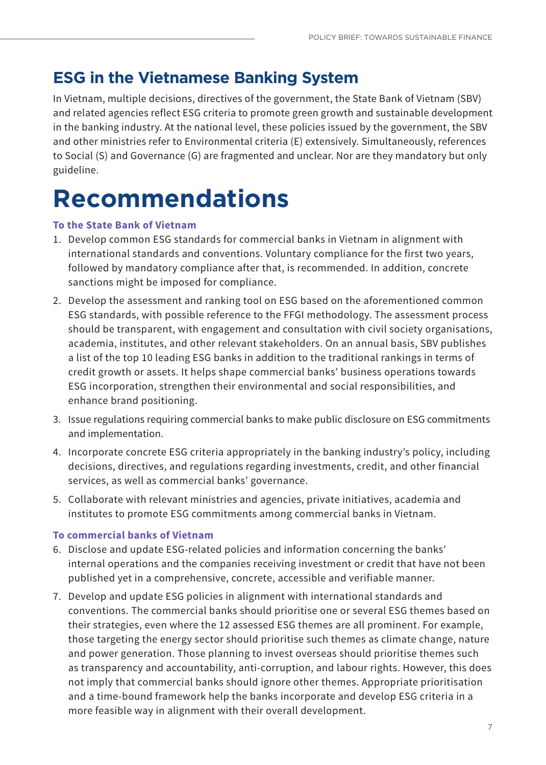### **ESG in the Vietnamese Banking System**

In Vietnam, multiple decisions, directives of the government, the State Bank of Vietnam (SBV) and related agencies reflect ESG criteria to promote green growth and sustainable development in the banking industry. At the national level, these policies issued by the government, the SBV and other ministries refer to Environmental criteria (E) extensively. Simultaneously, references to Social (S) and Governance (G) are fragmented and unclear. Nor are they mandatory but only guideline.

## **Recommendations**

#### **To the State Bank of Vietnam**

- 1. Develop common ESG standards for commercial banks in Vietnam in alignment with international standards and conventions. Voluntary compliance for the first two years, followed by mandatory compliance after that, is recommended. In addition, concrete sanctions might be imposed for compliance.
- 2. Develop the assessment and ranking tool on ESG based on the aforementioned common ESG standards, with possible reference to the FFGI methodology. The assessment process should be transparent, with engagement and consultation with civil society organisations, academia, institutes, and other relevant stakeholders. On an annual basis, SBV publishes a list of the top 10 leading ESG banks in addition to the traditional rankings in terms of credit growth or assets. It helps shape commercial banks' business operations towards ESG incorporation, strengthen their environmental and social responsibilities, and enhance brand positioning.
- 3. Issue regulations requiring commercial banks to make public disclosure on ESG commitments and implementation.
- 4. Incorporate concrete ESG criteria appropriately in the banking industry's policy, including decisions, directives, and regulations regarding investments, credit, and other financial services, as well as commercial banks' governance.
- 5. Collaborate with relevant ministries and agencies, private initiatives, academia and institutes to promote ESG commitments among commercial banks in Vietnam.

#### **To commercial banks of Vietnam**

- 6. Disclose and update ESG-related policies and information concerning the banks' internal operations and the companies receiving investment or credit that have not been published yet in a comprehensive, concrete, accessible and verifiable manner.
- 7. Develop and update ESG policies in alignment with international standards and conventions. The commercial banks should prioritise one or several ESG themes based on their strategies, even where the 12 assessed ESG themes are all prominent. For example, those targeting the energy sector should prioritise such themes as climate change, nature and power generation. Those planning to invest overseas should prioritise themes such as transparency and accountability, anti-corruption, and labour rights. However, this does not imply that commercial banks should ignore other themes. Appropriate prioritisation and a time-bound framework help the banks incorporate and develop ESG criteria in a more feasible way in alignment with their overall development.